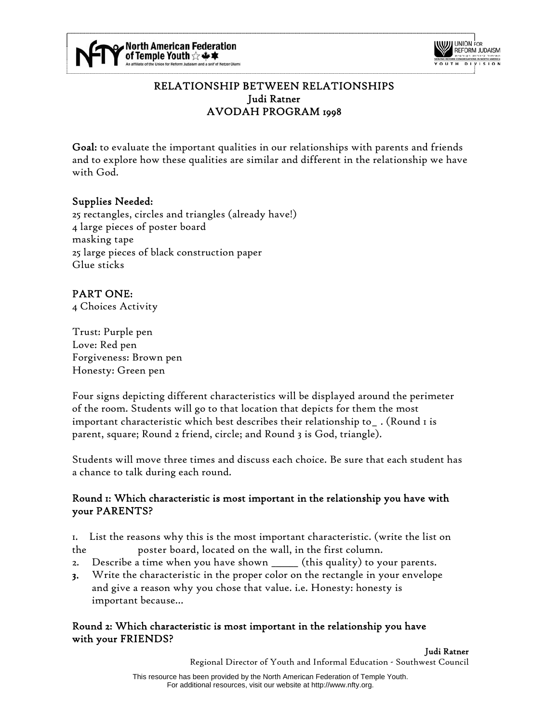



## RELATIONSHIP BETWEEN RELATIONSHIPS Judi Ratner AVODAH PROGRAM 1998

Goal: to evaluate the important qualities in our relationships with parents and friends and to explore how these qualities are similar and different in the relationship we have with God.

### Supplies Needed:

25 rectangles, circles and triangles (already have!) 4 large pieces of poster board masking tape 25 large pieces of black construction paper Glue sticks

# PART ONE:

4 Choices Activity

Trust: Purple pen Love: Red pen Forgiveness: Brown pen Honesty: Green pen

Four signs depicting different characteristics will be displayed around the perimeter of the room. Students will go to that location that depicts for them the most important characteristic which best describes their relationship to\_ . (Round 1 is parent, square; Round 2 friend, circle; and Round 3 is God, triangle).

Students will move three times and discuss each choice. Be sure that each student has a chance to talk during each round.

#### Round 1: Which characteristic is most important in the relationship you have with your PARENTS?

1. List the reasons why this is the most important characteristic. (write the list on the poster board, located on the wall, in the first column.

- 2. Describe a time when you have shown \_\_\_\_\_\_ (this quality) to your parents.
- 3. Write the characteristic in the proper color on the rectangle in your envelope and give a reason why you chose that value. i.e. Honesty: honesty is important because…

#### Round 2: Which characteristic is most important in the relationship you have with your FRIENDS?

Judi Ratner

Regional Director of Youth and Informal Education - Southwest Council